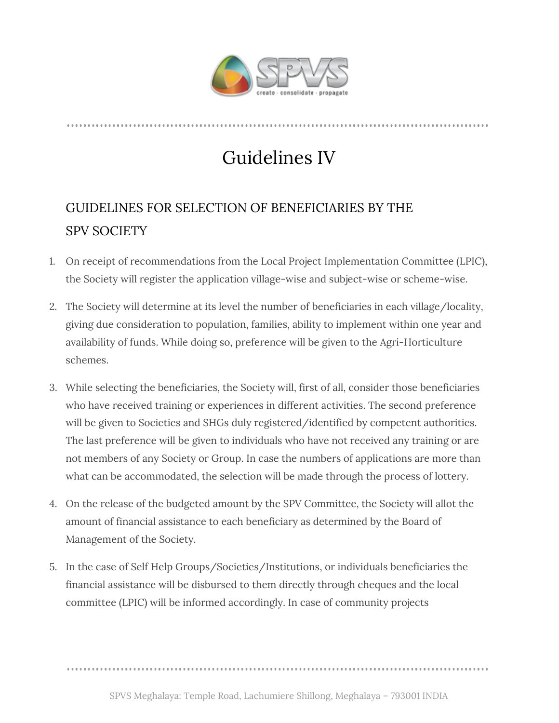

## Guidelines IV

## GUIDELINES FOR SELECTION OF BENEFICIARIES BY THE SPV SOCIETY

- 1. On receipt of recommendations from the Local Project Implementation Committee (LPIC), the Society will register the application village-wise and subject-wise or scheme-wise.
- 2. The Society will determine at its level the number of beneficiaries in each village/locality, giving due consideration to population, families, ability to implement within one year and availability of funds. While doing so, preference will be given to the Agri-Horticulture schemes.
- 3. While selecting the beneficiaries, the Society will, first of all, consider those beneficiaries who have received training or experiences in different activities. The second preference will be given to Societies and SHGs duly registered/identified by competent authorities. The last preference will be given to individuals who have not received any training or are not members of any Society or Group. In case the numbers of applications are more than what can be accommodated, the selection will be made through the process of lottery.
- 4. On the release of the budgeted amount by the SPV Committee, the Society will allot the amount of financial assistance to each beneficiary as determined by the Board of Management of the Society.
- 5. In the case of Self Help Groups/Societies/Institutions, or individuals beneficiaries the financial assistance will be disbursed to them directly through cheques and the local committee (LPIC) will be informed accordingly. In case of community projects